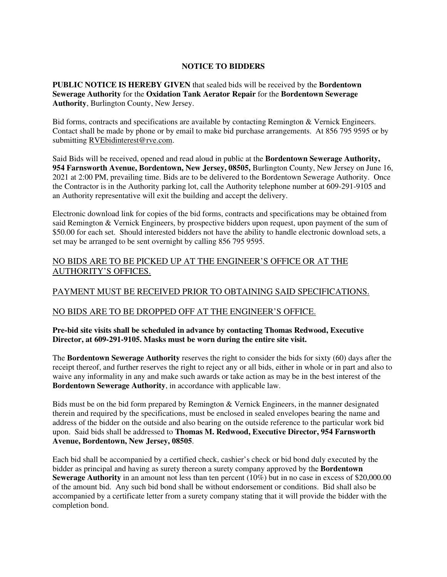## **NOTICE TO BIDDERS**

**PUBLIC NOTICE IS HEREBY GIVEN** that sealed bids will be received by the **Bordentown Sewerage Authority** for the **Oxidation Tank Aerator Repair** for the **Bordentown Sewerage Authority**, Burlington County, New Jersey.

Bid forms, contracts and specifications are available by contacting Remington & Vernick Engineers. Contact shall be made by phone or by email to make bid purchase arrangements. At 856 795 9595 or by submitting RVEbidinterest@rve.com.

Said Bids will be received, opened and read aloud in public at the **Bordentown Sewerage Authority, 954 Farnsworth Avenue, Bordentown, New Jersey, 08505,** Burlington County, New Jersey on June 16, 2021 at 2:00 PM, prevailing time. Bids are to be delivered to the Bordentown Sewerage Authority. Once the Contractor is in the Authority parking lot, call the Authority telephone number at 609-291-9105 and an Authority representative will exit the building and accept the delivery.

Electronic download link for copies of the bid forms, contracts and specifications may be obtained from said Remington & Vernick Engineers, by prospective bidders upon request, upon payment of the sum of \$50.00 for each set. Should interested bidders not have the ability to handle electronic download sets, a set may be arranged to be sent overnight by calling 856 795 9595.

## NO BIDS ARE TO BE PICKED UP AT THE ENGINEER'S OFFICE OR AT THE AUTHORITY'S OFFICES.

# PAYMENT MUST BE RECEIVED PRIOR TO OBTAINING SAID SPECIFICATIONS.

## NO BIDS ARE TO BE DROPPED OFF AT THE ENGINEER'S OFFICE.

### **Pre-bid site visits shall be scheduled in advance by contacting Thomas Redwood, Executive Director, at 609-291-9105. Masks must be worn during the entire site visit.**

The **Bordentown Sewerage Authority** reserves the right to consider the bids for sixty (60) days after the receipt thereof, and further reserves the right to reject any or all bids, either in whole or in part and also to waive any informality in any and make such awards or take action as may be in the best interest of the **Bordentown Sewerage Authority**, in accordance with applicable law.

Bids must be on the bid form prepared by Remington & Vernick Engineers, in the manner designated therein and required by the specifications, must be enclosed in sealed envelopes bearing the name and address of the bidder on the outside and also bearing on the outside reference to the particular work bid upon. Said bids shall be addressed to **Thomas M. Redwood, Executive Director, 954 Farnsworth Avenue, Bordentown, New Jersey, 08505**.

Each bid shall be accompanied by a certified check, cashier's check or bid bond duly executed by the bidder as principal and having as surety thereon a surety company approved by the **Bordentown Sewerage Authority** in an amount not less than ten percent (10%) but in no case in excess of \$20,000.00 of the amount bid. Any such bid bond shall be without endorsement or conditions. Bid shall also be accompanied by a certificate letter from a surety company stating that it will provide the bidder with the completion bond.